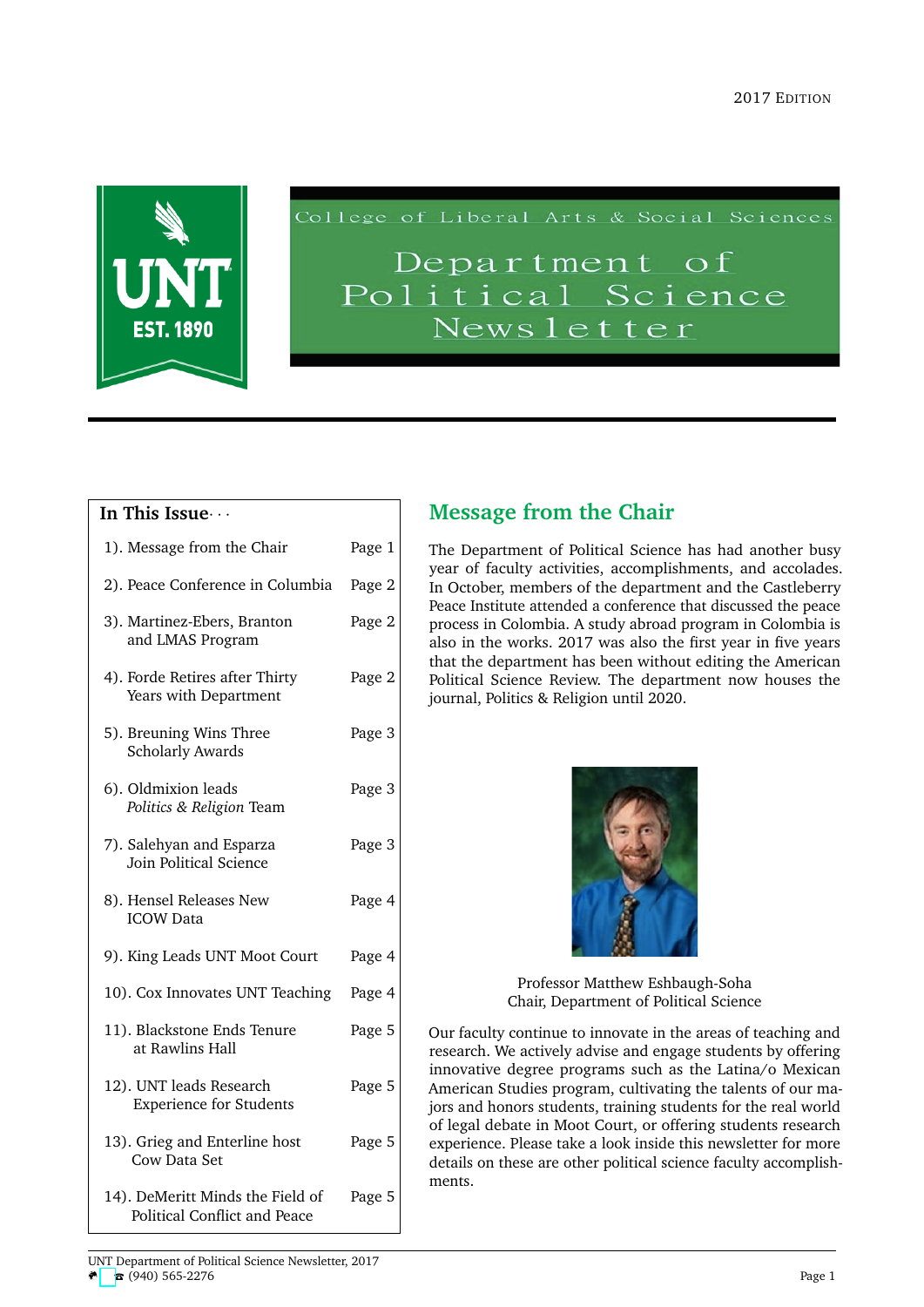

College of Liberal Arts & Social Sciences

# Department of Political Science Newsletter

#### **In This Issue**· · ·

| 1). Message from the Chair                                       | Page 1 |
|------------------------------------------------------------------|--------|
| 2). Peace Conference in Columbia                                 | Page 2 |
| 3). Martinez-Ebers, Branton<br>and LMAS Program                  | Page 2 |
| 4). Forde Retires after Thirty<br>Years with Department          | Page 2 |
| 5). Breuning Wins Three<br><b>Scholarly Awards</b>               | Page 3 |
| 6). Oldmixion leads<br>Politics & Religion Team                  | Page 3 |
| 7). Salehyan and Esparza<br>Join Political Science               | Page 3 |
| 8). Hensel Releases New<br><b>ICOW Data</b>                      | Page 4 |
| 9). King Leads UNT Moot Court                                    | Page 4 |
| 10). Cox Innovates UNT Teaching                                  | Page 4 |
| 11). Blackstone Ends Tenure<br>at Rawlins Hall                   | Page 5 |
| 12). UNT leads Research<br><b>Experience for Students</b>        | Page 5 |
| 13). Grieg and Enterline host<br>Cow Data Set                    | Page 5 |
| 14). DeMeritt Minds the Field of<br>Political Conflict and Peace | Page 5 |

## **Message from the Chair**

The Department of Political Science has had another busy year of faculty activities, accomplishments, and accolades. In October, members of the department and the Castleberry Peace Institute attended a conference that discussed the peace process in Colombia. A study abroad program in Colombia is also in the works. 2017 was also the first year in five years that the department has been without editing the American Political Science Review. The department now houses the journal, Politics & Religion until 2020.



Professor Matthew Eshbaugh-Soha Chair, Department of Political Science

Our faculty continue to innovate in the areas of teaching and research. We actively advise and engage students by offering innovative degree programs such as the Latina/o Mexican American Studies program, cultivating the talents of our majors and honors students, training students for the real world of legal debate in Moot Court, or offering students research experience. Please take a look inside this newsletter for more details on these are other political science faculty accomplishments.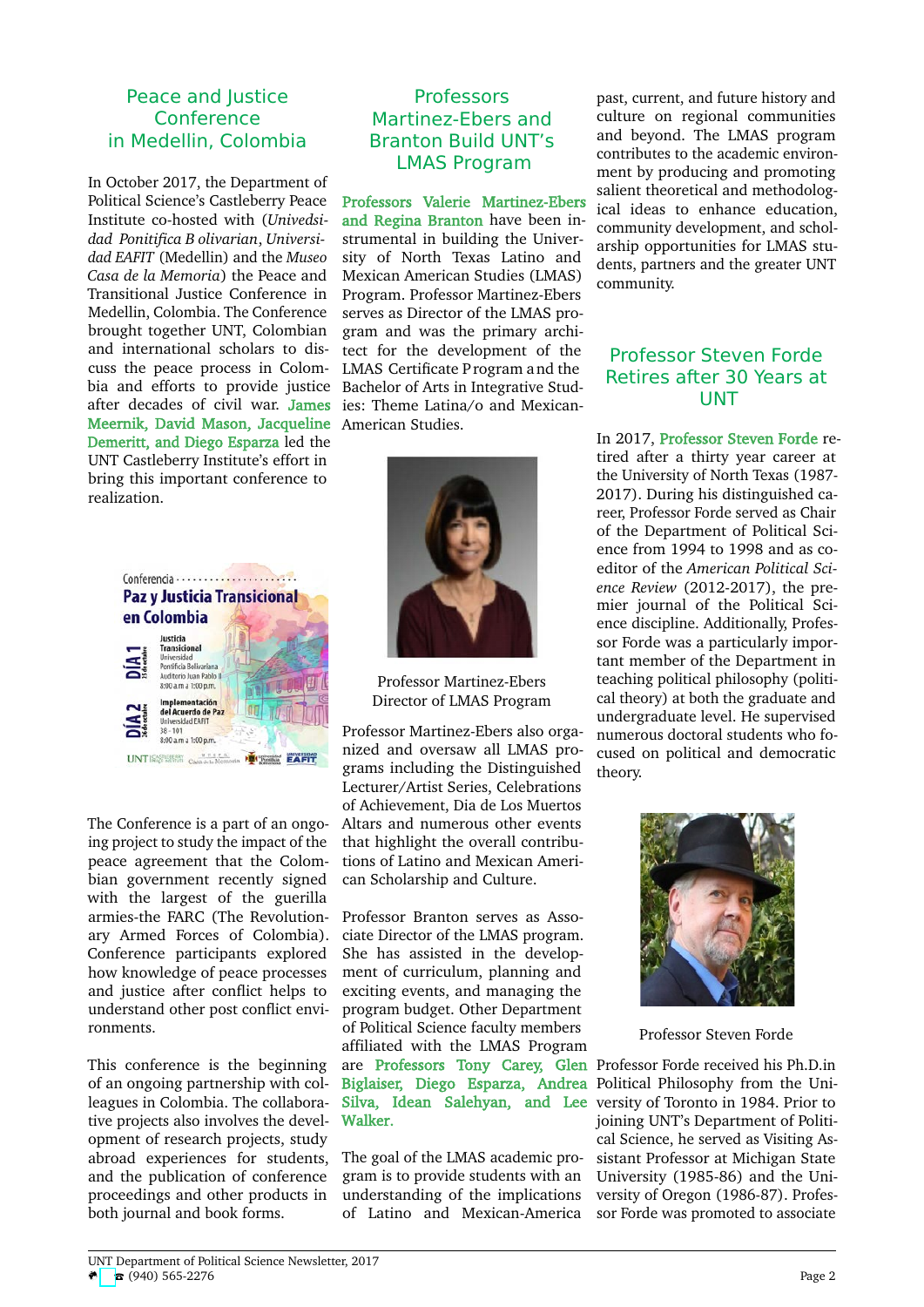#### Peace and Justice Conference in Medellin, Colombia

In October 2017, the Department of Political Science's Castleberry Peace Institute co-hosted with (*Univedsidad Ponitifica B olivarian*, *Universidad EAFIT* (Medellin) and the *Museo Casa de la Memoria*) the Peace and Transitional Justice Conference in Medellin, Colombia. The Conference brought together UNT, Colombian and international scholars to discuss the peace process in Colombia and efforts to provide justice Bachelor of Arts in Integrative Studafter decades of civil war. James ies: Theme Latina/o and Mexican-Meernik, David Mason, Jacqueline American Studies. Demeritt, and Diego Esparza led the UNT Castleberry Institute's effort in bring this important conference to realization.



The Conference is a part of an ongoing project to study the impact of the peace agreement that the Colombian government recently signed with the largest of the guerilla armies-the FARC (The Revolutionary Armed Forces of Colombia). Conference participants explored how knowledge of peace processes and justice after conflict helps to understand other post conflict environments.

This conference is the beginning of an ongoing partnership with colleagues in Colombia. The collaborative projects also involves the development of research projects, study abroad experiences for students, and the publication of conference proceedings and other products in both journal and book forms.

#### **Professors** Martinez-Ebers and Branton Build UNT's LMAS Program

Professors Valerie Martinez-Ebers and Regina Branton have been instrumental in building the University of North Texas Latino and Mexican American Studies (LMAS) Program. Professor Martinez-Ebers serves as Director of the LMAS program and was the primary architect for the development of the LMAS Certificate P rogram and the



Professor Martinez-Ebers Director of LMAS Program

Professor Martinez-Ebers also organized and oversaw all LMAS programs including the Distinguished Lecturer/Artist Series, Celebrations of Achievement, Dia de Los Muertos Altars and numerous other events that highlight the overall contributions of Latino and Mexican American Scholarship and Culture.

Professor Branton serves as Associate Director of the LMAS program. She has assisted in the development of curriculum, planning and exciting events, and managing the program budget. Other Department of Political Science faculty members affiliated with the LMAS Program are Professors Tony Carey, Glen Professor Forde received his Ph.D.in Biglaiser, Diego Esparza, Andrea Political Philosophy from the Uni-Silva, Idean Salehyan, and Lee versity of Toronto in 1984. Prior to Walker.

The goal of the LMAS academic program is to provide students with an understanding of the implications of Latino and Mexican-America

past, current, and future history and culture on regional communities and beyond. The LMAS program contributes to the academic environment by producing and promoting salient theoretical and methodological ideas to enhance education, community development, and scholarship opportunities for LMAS students, partners and the greater UNT community.

## Professor Steven Forde Retires after 30 Years at UNT

In 2017, Professor Steven Forde retired after a thirty year career at the University of North Texas (1987- 2017). During his distinguished career, Professor Forde served as Chair of the Department of Political Science from 1994 to 1998 and as coeditor of the *American Political Science Review* (2012-2017), the premier journal of the Political Science discipline. Additionally, Professor Forde was a particularly important member of the Department in teaching political philosophy (political theory) at both the graduate and undergraduate level. He supervised numerous doctoral students who focused on political and democratic theory.



Professor Steven Forde

joining UNT's Department of Political Science, he served as Visiting Assistant Professor at Michigan State University (1985-86) and the University of Oregon (1986-87). Professor Forde was promoted to associate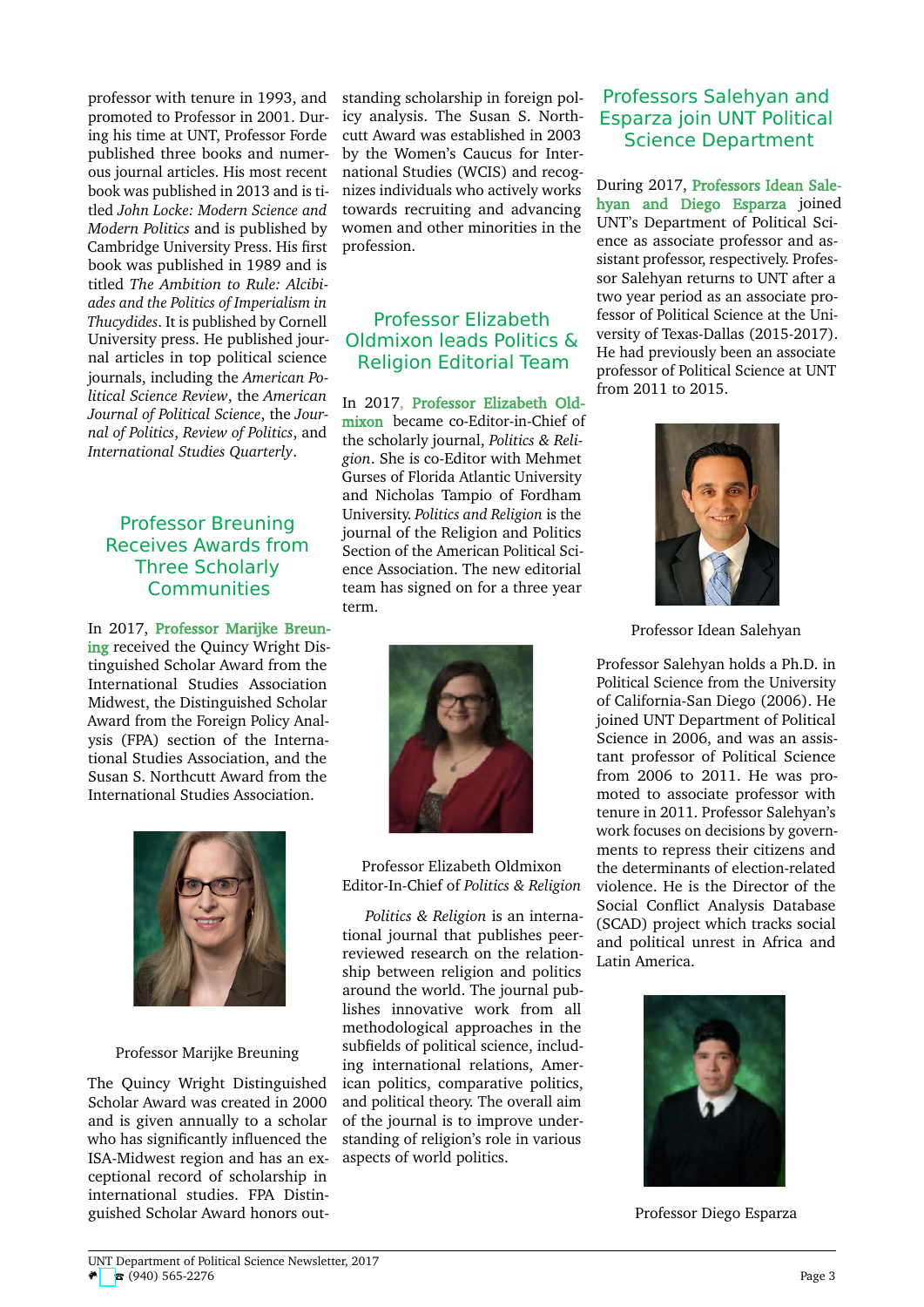professor with tenure in 1993, and promoted to Professor in 2001. During his time at UNT, Professor Forde published three books and numerous journal articles. His most recent book was published in 2013 and is titled *John Locke: Modern Science and Modern Politics* and is published by Cambridge University Press. His first book was published in 1989 and is titled *The Ambition to Rule: Alcibiades and the Politics of Imperialism in Thucydides*. It is published by Cornell University press. He published journal articles in top political science journals, including the *American Political Science Review*, the *American Journal of Political Science*, the *Journal of Politics*, *Review of Politics*, and *International Studies Quarterly*.

#### Professor Breuning Receives Awards from Three Scholarly Communities

In 2017, Professor Marijke Breuning received the Quincy Wright Distinguished Scholar Award from the International Studies Association Midwest, the Distinguished Scholar Award from the Foreign Policy Analysis (FPA) section of the International Studies Association, and the Susan S. Northcutt Award from the International Studies Association.



#### Professor Marijke Breuning

The Quincy Wright Distinguished Scholar Award was created in 2000 and is given annually to a scholar who has significantly influenced the ISA-Midwest region and has an exceptional record of scholarship in international studies. FPA Distinguished Scholar Award honors outstanding scholarship in foreign policy analysis. The Susan S. Northcutt Award was established in 2003 by the Women's Caucus for International Studies (WCIS) and recognizes individuals who actively works towards recruiting and advancing women and other minorities in the profession.

## Professor Elizabeth Oldmixon leads Politics & Religion Editorial Team

In 2017, Professor Elizabeth Oldmixon became co-Editor-in-Chief of the scholarly journal, *Politics & Religion*. She is co-Editor with Mehmet Gurses of Florida Atlantic University and Nicholas Tampio of Fordham University. *Politics and Religion* is the journal of the Religion and Politics Section of the American Political Science Association. The new editorial team has signed on for a three year term.



Professor Elizabeth Oldmixon Editor-In-Chief of *Politics & Religion*

*Politics & Religion* is an international journal that publishes peerreviewed research on the relationship between religion and politics around the world. The journal publishes innovative work from all methodological approaches in the subfields of political science, including international relations, American politics, comparative politics, and political theory. The overall aim of the journal is to improve understanding of religion's role in various aspects of world politics.

#### Professors Salehyan and Esparza join UNT Political Science Department

During 2017, Professors Idean Salehyan and Diego Esparza joined UNT's Department of Political Science as associate professor and assistant professor, respectively. Professor Salehyan returns to UNT after a two year period as an associate professor of Political Science at the University of Texas-Dallas (2015-2017). He had previously been an associate professor of Political Science at UNT from 2011 to 2015.



Professor Idean Salehyan

Professor Salehyan holds a Ph.D. in Political Science from the University of California-San Diego (2006). He joined UNT Department of Political Science in 2006, and was an assistant professor of Political Science from 2006 to 2011. He was promoted to associate professor with tenure in 2011. Professor Salehyan's work focuses on decisions by governments to repress their citizens and the determinants of election-related violence. He is the Director of the Social Conflict Analysis Database (SCAD) project which tracks social and political unrest in Africa and Latin America.



Professor Diego Esparza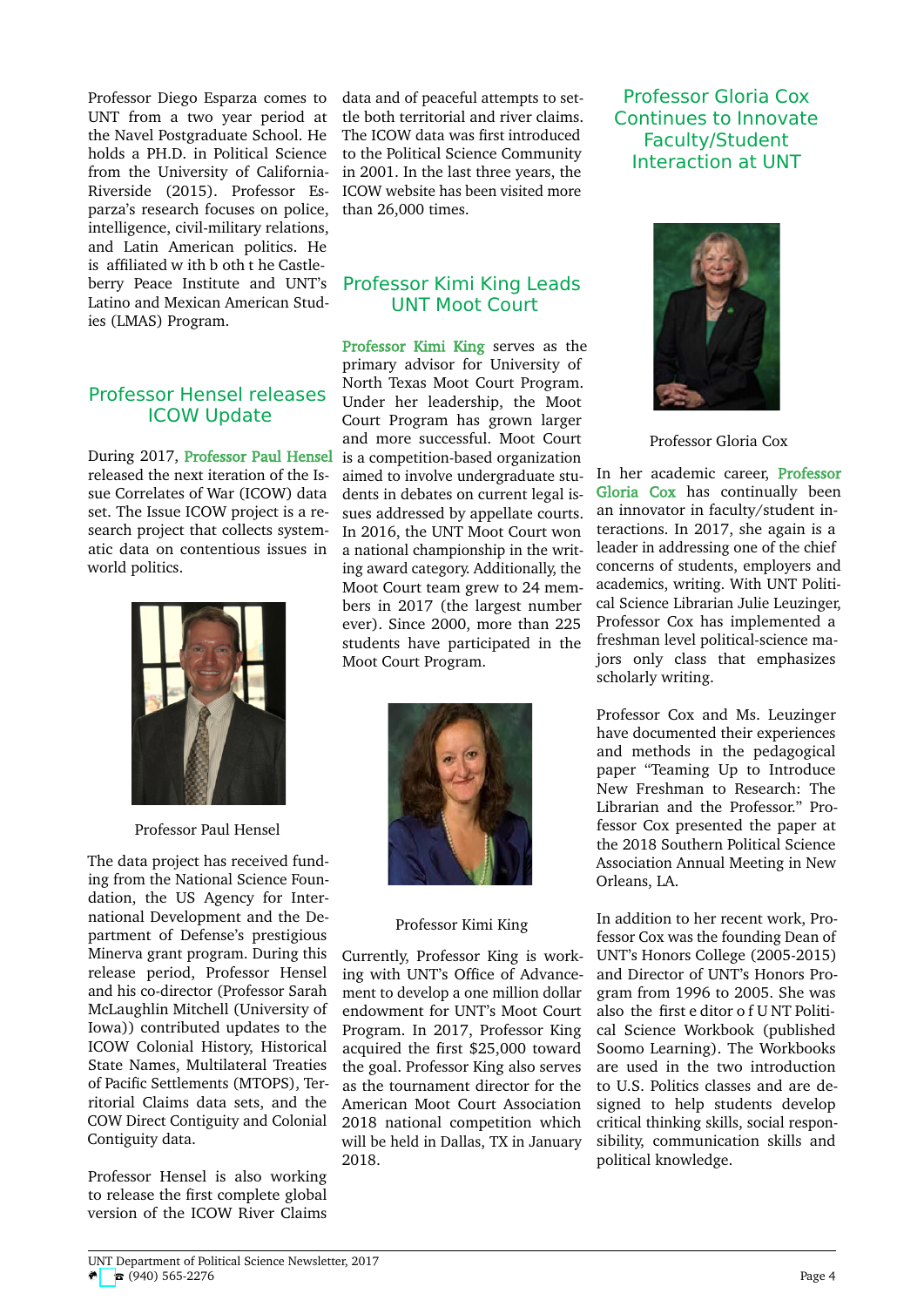Professor Diego Esparza comes to UNT from a two year period at the Navel Postgraduate School. He holds a PH.D. in Political Science from the University of California-Riverside (2015). Professor Esparza's research focuses on police, intelligence, civil-military relations, and Latin American politics. He is affiliated w ith b oth t he Castleberry Peace Institute and UNT's Latino and Mexican American Studies (LMAS) Program.

## Professor Hensel releases ICOW Update

During 2017, Professor Paul Hensel released the next iteration of the Issue Correlates of War (ICOW) data set. The Issue ICOW project is a research project that collects systematic data on contentious issues in world politics.



Professor Paul Hensel

The data project has received funding from the National Science Foundation, the US Agency for International Development and the Department of Defense's prestigious Minerva grant program. During this release period, Professor Hensel and his co-director (Professor Sarah McLaughlin Mitchell (University of Iowa)) contributed updates to the ICOW Colonial History, Historical State Names, Multilateral Treaties of Pacific Settlements (MTOPS), Territorial Claims data sets, and the COW Direct Contiguity and Colonial Contiguity data.

Professor Hensel is also working to release the first complete global version of the ICOW River Claims data and of peaceful attempts to settle both territorial and river claims. The ICOW data was first introduced to the Political Science Community in 2001. In the last three years, the ICOW website has been visited more than 26,000 times.

## Professor Kimi King Leads UNT Moot Court

Professor Kimi King serves as the primary advisor for University of North Texas Moot Court Program. Under her leadership, the Moot Court Program has grown larger and more successful. Moot Court is a competition-based organization aimed to involve undergraduate students in debates on current legal issues addressed by appellate courts. In 2016, the UNT Moot Court won a national championship in the writing award category. Additionally, the Moot Court team grew to 24 members in 2017 (the largest number ever). Since 2000, more than 225 students have participated in the Moot Court Program.



#### Professor Kimi King

Currently, Professor King is working with UNT's Office of Advancement to develop a one million dollar endowment for UNT's Moot Court Program. In 2017, Professor King acquired the first \$25,000 toward the goal. Professor King also serves as the tournament director for the American Moot Court Association 2018 national competition which will be held in Dallas, TX in January 2018.

Professor Gloria Cox Continues to Innovate Faculty/Student Interaction at UNT



Professor Gloria Cox

In her academic career, Professor Gloria Cox has continually been an innovator in faculty/student interactions. In 2017, she again is a leader in addressing one of the chief concerns of students, employers and academics, writing. With UNT Political Science Librarian Julie Leuzinger, Professor Cox has implemented a freshman level political-science majors only class that emphasizes scholarly writing.

Professor Cox and Ms. Leuzinger have documented their experiences and methods in the pedagogical paper "Teaming Up to Introduce New Freshman to Research: The Librarian and the Professor." Professor Cox presented the paper at the 2018 Southern Political Science Association Annual Meeting in New Orleans, LA.

In addition to her recent work, Professor Cox was the founding Dean of UNT's Honors College (2005-2015) and Director of UNT's Honors Program from 1996 to 2005. She was also the first e ditor o f U NT Political Science Workbook (published Soomo Learning). The Workbooks are used in the two introduction to U.S. Politics classes and are designed to help students develop critical thinking skills, social responsibility, communication skills and political knowledge.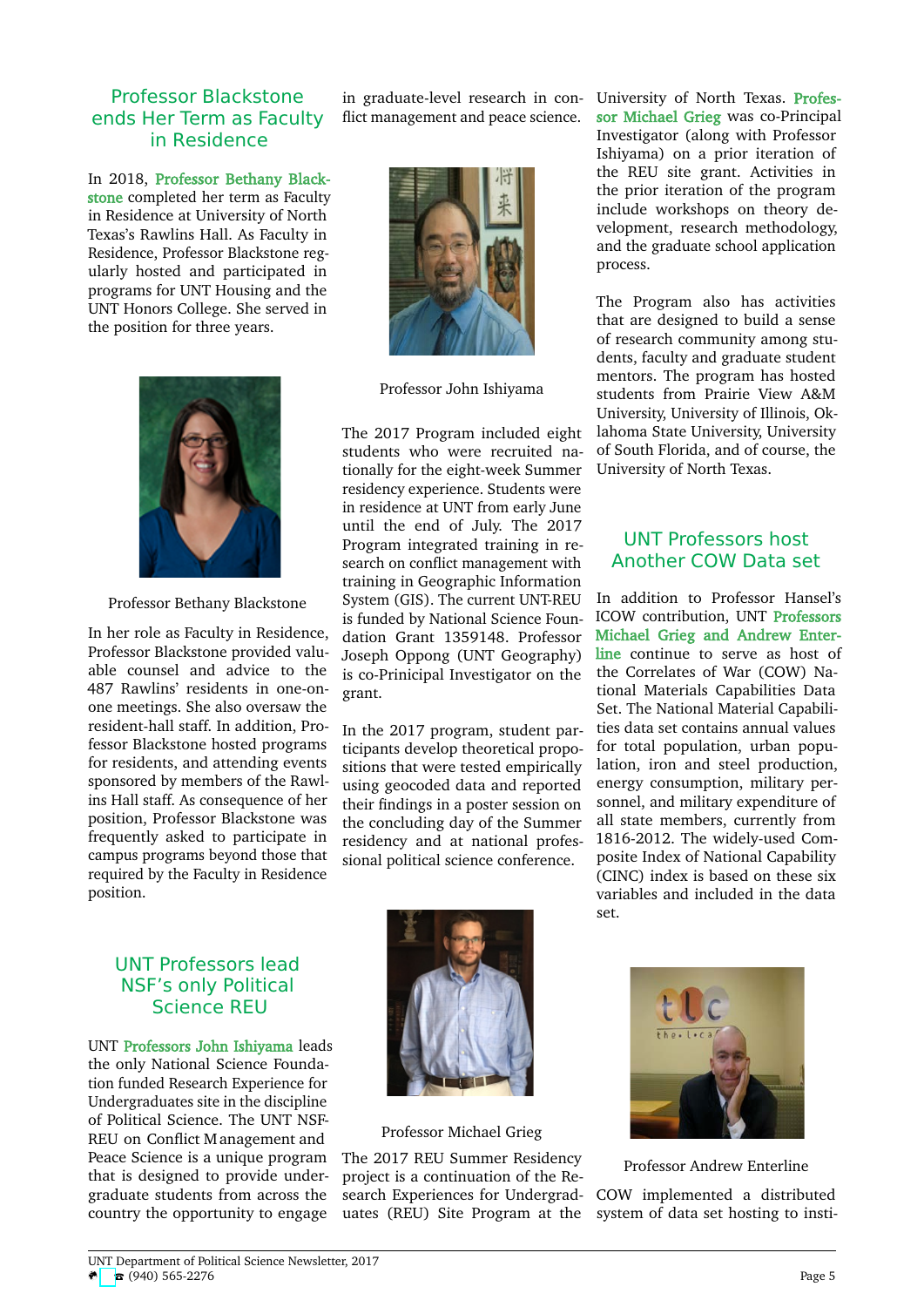#### Professor Blackstone ends Her Term as Faculty in Residence

In 2018, Professor Bethany Blackstone completed her term as Faculty in Residence at University of North Texas's Rawlins Hall. As Faculty in Residence, Professor Blackstone regularly hosted and participated in programs for UNT Housing and the UNT Honors College. She served in the position for three years.



Professor Bethany Blackstone

In her role as Faculty in Residence, Professor Blackstone provided valuable counsel and advice to the 487 Rawlins' residents in one-onone meetings. She also oversaw the resident-hall staff. In addition, Professor Blackstone hosted programs for residents, and attending events sponsored by members of the Rawlins Hall staff. As consequence of her position, Professor Blackstone was frequently asked to participate in campus programs beyond those that required by the Faculty in Residence position.

## UNT Professors lead NSF's only Political Science REU

UNT Professors John Ishiyama leads the only National Science Foundation funded Research Experience for Undergraduates site in the discipline of Political Science. The UNT NSF-REU on Conflict M anagement and Peace Science is a unique program that is designed to provide undergraduate students from across the country the opportunity to engage

flict management and peace science.



Professor John Ishiyama

The 2017 Program included eight students who were recruited nationally for the eight-week Summer residency experience. Students were in residence at UNT from early June until the end of July. The 2017 Program integrated training in research on conflict management with training in Geographic Information System (GIS). The current UNT-REU is funded by National Science Foundation Grant 1359148. Professor Joseph Oppong (UNT Geography) is co-Prinicipal Investigator on the grant.

In the 2017 program, student participants develop theoretical propositions that were tested empirically using geocoded data and reported their findings in a poster session on the concluding day of the Summer residency and at national professional political science conference.

in graduate-level research in con- University of North Texas. Professor Michael Grieg was co-Principal Investigator (along with Professor Ishiyama) on a prior iteration of the REU site grant. Activities in the prior iteration of the program include workshops on theory development, research methodology, and the graduate school application process.

> The Program also has activities that are designed to build a sense of research community among students, faculty and graduate student mentors. The program has hosted students from Prairie View A&M University, University of Illinois, Oklahoma State University, University of South Florida, and of course, the University of North Texas.

#### UNT Professors host Another COW Data set

In addition to Professor Hansel's ICOW contribution, UNT Professors Michael Grieg and Andrew Enterline continue to serve as host of the Correlates of War (COW) National Materials Capabilities Data Set. The National Material Capabilities data set contains annual values for total population, urban population, iron and steel production, energy consumption, military personnel, and military expenditure of all state members, currently from 1816-2012. The widely-used Composite Index of National Capability (CINC) index is based on these six variables and included in the data set.



#### Professor Michael Grieg

The 2017 REU Summer Residency project is a continuation of the Research Experiences for Undergraduates (REU) Site Program at the



Professor Andrew Enterline

COW implemented a distributed system of data set hosting to insti